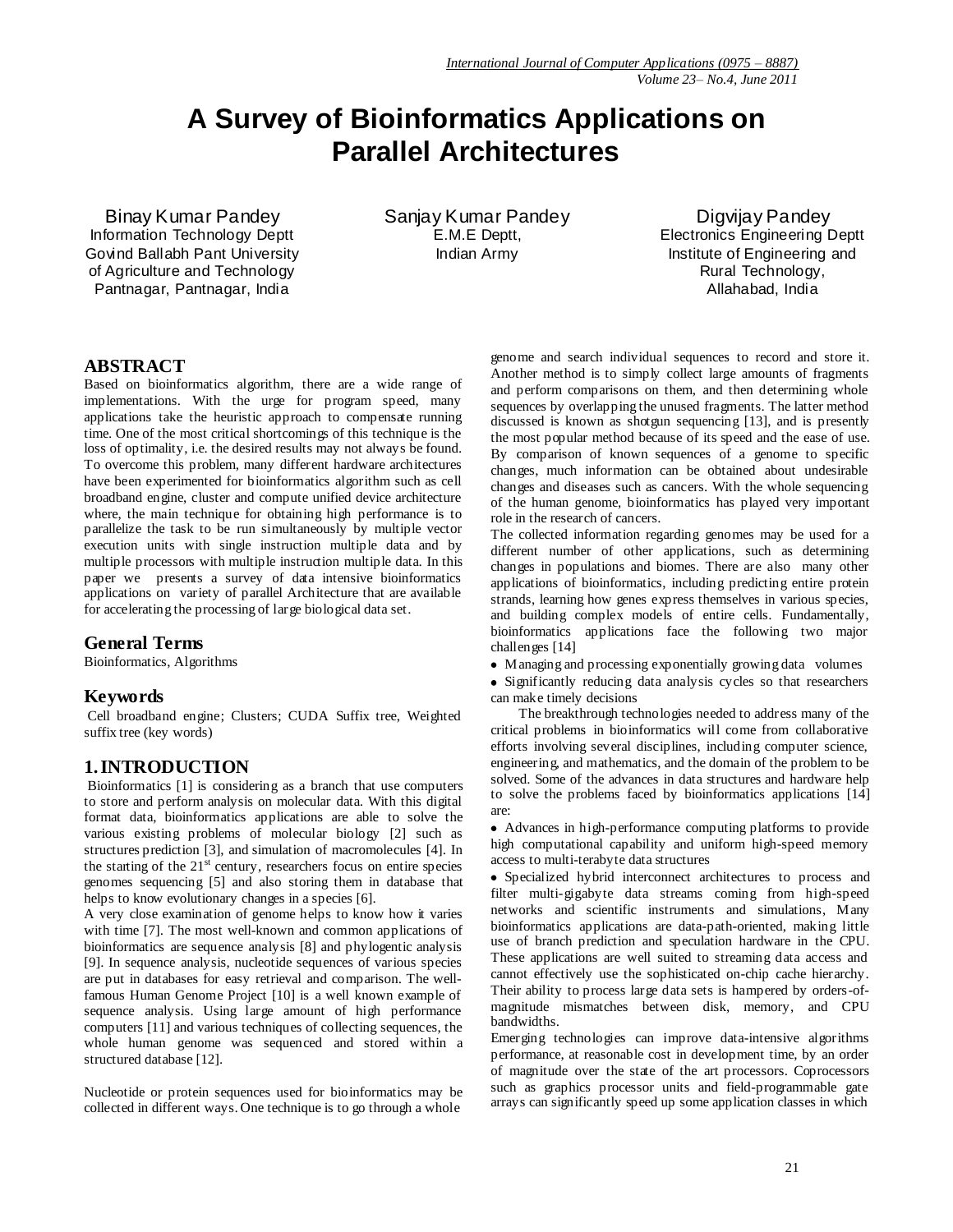# **A Survey of Bioinformatics Applications on Parallel Architectures**

Binay Kumar Pandey Information Technology Deptt Govind Ballabh Pant University of Agriculture and Technology Pantnagar, Pantnagar, India

Sanjay Kumar Pandey E.M.E Deptt, Indian Army

 Digvijay Pandey Electronics Engineering Deptt Institute of Engineering and Rural Technology, Allahabad, India

#### **ABSTRACT**

Based on bioinformatics algorithm, there are a wide range of implementations. With the urge for program speed, many applications take the heuristic approach to compensate running time. One of the most critical shortcomings of this technique is the loss of optimality, i.e. the desired results may not always be found. To overcome this problem, many different hardware architectures have been experimented for bioinformatics algorithm such as cell broadband engine, cluster and compute unified device architecture where, the main technique for obtaining high performance is to parallelize the task to be run simultaneously by multiple vector execution units with single instruction multiple data and by multiple processors with multiple instruction multiple data. In this paper we presents a survey of data intensive bioinformatics applications on variety of parallel Architecture that are available for accelerating the processing of large biological data set.

#### **General Terms**

Bioinformatics, Algorithms

#### **Keywords**

Cell broadband engine; Clusters; CUDA Suffix tree, Weighted suffix tree (key words)

# **1.INTRODUCTION**

Bioinformatics [1] is considering as a branch that use computers to store and perform analysis on molecular data. With this digital format data, bioinformatics applications are able to solve the various existing problems of molecular biology [2] such as structures prediction [3], and simulation of macromolecules [4]. In the starting of the  $21<sup>st</sup>$  century, researchers focus on entire species genomes sequencing [5] and also storing them in database that helps to know evolutionary changes in a species [6].

A very close examination of genome helps to know how it varies with time [7]. The most well-known and common applications of bioinformatics are sequence analysis [8] and phylogentic analysis [9]. In sequence analysis, nucleotide sequences of various species are put in databases for easy retrieval and comparison. The wellfamous Human Genome Project [10] is a well known example of sequence analysis. Using large amount of high performance computers [11] and various techniques of collecting sequences, the whole human genome was sequenced and stored within a structured database [12].

Nucleotide or protein sequences used for bioinformatics may be collected in different ways. One technique is to go through a whole

genome and search individual sequences to record and store it. Another method is to simply collect large amounts of fragments and perform comparisons on them, and then determining whole sequences by overlapping the unused fragments. The latter method discussed is known as shotgun sequencing [13], and is presently the most popular method because of its speed and the ease of use. By comparison of known sequences of a genome to specific changes, much information can be obtained about undesirable changes and diseases such as cancers. With the whole sequencing of the human genome, bioinformatics has played very important role in the research of cancers.

The collected information regarding genomes may be used for a different number of other applications, such as determining changes in populations and biomes. There are also many other applications of bioinformatics, including predicting entire protein strands, learning how genes express themselves in various species, and building complex models of entire cells. Fundamentally, bioinformatics applications face the following two major challenges [14]

Managing and processing exponentially growing data volumes

Significantly reducing data analysis cycles so that researchers can make timely decisions

 The breakthrough technologies needed to address many of the critical problems in bioinformatics will come from collaborative efforts involving several disciplines, including computer science, engineering, and mathematics, and the domain of the problem to be solved. Some of the advances in data structures and hardware help to solve the problems faced by bioinformatics applications [14] are:

Advances in high-performance computing platforms to provide high computational capability and uniform high-speed memory access to multi-terabyte data structures

Specialized hybrid interconnect architectures to process and filter multi-gigabyte data streams coming from high-speed networks and scientific instruments and simulations, Many bioinformatics applications are data-path-oriented, making little use of branch prediction and speculation hardware in the CPU. These applications are well suited to streaming data access and cannot effectively use the sophisticated on-chip cache hierarchy. Their ability to process large data sets is hampered by orders-ofmagnitude mismatches between disk, memory, and CPU bandwidths.

Emerging technologies can improve data-intensive algorithms performance, at reasonable cost in development time, by an order of magnitude over the state of the art processors. Coprocessors such as graphics processor units and field-programmable gate arrays can significantly speed up some application classes in which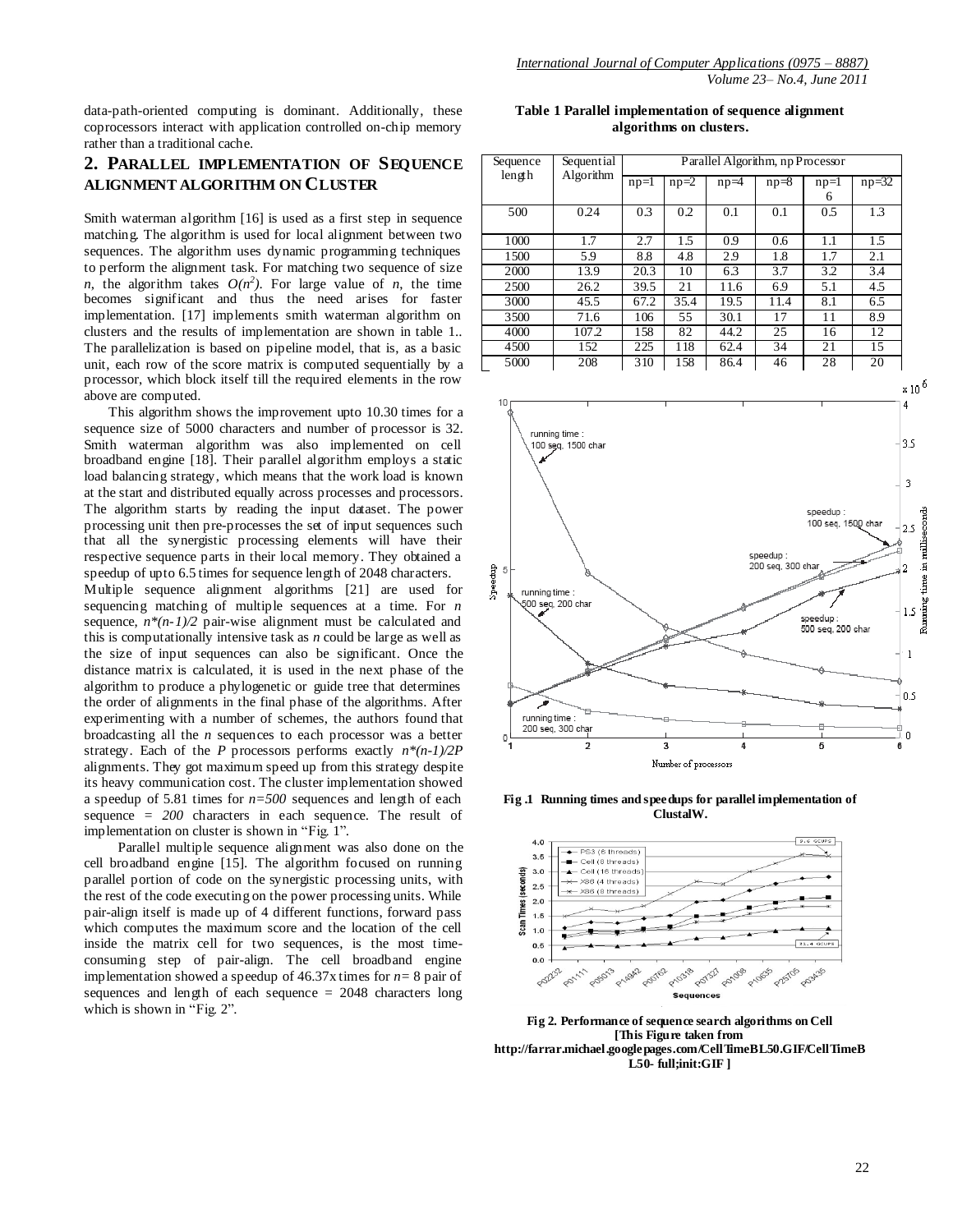data-path-oriented computing is dominant. Additionally, these coprocessors interact with application controlled on-chip memory rather than a traditional cache.

# **2. PARALLEL IMPLEMENTATION OF SEQUENCE ALIGNMENT ALGORITHM ON CLUSTER**

Smith waterman algorithm [16] is used as a first step in sequence matching. The algorithm is used for local alignment between two sequences. The algorithm uses dynamic programming techniques to perform the alignment task. For matching two sequence of size *n*, the algorithm takes  $O(n^2)$ . For large value of *n*, the time becomes significant and thus the need arises for faster implementation. [17] implements smith waterman algorithm on clusters and the results of implementation are shown in table 1.. The parallelization is based on pipeline model, that is, as a basic unit, each row of the score matrix is computed sequentially by a processor, which block itself till the required elements in the row above are computed.

 This algorithm shows the improvement upto 10.30 times for a sequence size of 5000 characters and number of processor is 32. Smith waterman algorithm was also implemented on cell broadband engine [18]. Their parallel algorithm employs a static load balancing strategy, which means that the work load is known at the start and distributed equally across processes and processors. The algorithm starts by reading the input dataset. The power processing unit then pre-processes the set of input sequences such that all the synergistic processing elements will have their respective sequence parts in their local memory. They obtained a speedup of upto 6.5 times for sequence length of 2048 characters. Multiple sequence alignment algorithms [21] are used for sequencing matching of multiple sequences at a time. For *n* sequence,  $n*(n-1)/2$  pair-wise alignment must be calculated and this is computationally intensive task as *n* could be large as well as the size of input sequences can also be significant. Once the distance matrix is calculated, it is used in the next phase of the algorithm to produce a phylogenetic or guide tree that determines the order of alignments in the final phase of the algorithms. After experimenting with a number of schemes, the authors found that broadcasting all the *n* sequences to each processor was a better strategy. Each of the *P* processors performs exactly *n\*(n-1)/2P* alignments. They got maximum speed up from this strategy despite its heavy communication cost. The cluster implementation showed a speedup of 5.81 times for *n=500* sequences and length of each sequence *= 200* characters in each sequence. The result of implementation on cluster is shown in "Fig. 1".

 Parallel multiple sequence alignment was also done on the cell broadband engine [15]. The algorithm focused on running parallel portion of code on the synergistic processing units, with the rest of the code executing on the power processing units. While pair-align itself is made up of 4 different functions, forward pass which computes the maximum score and the location of the cell inside the matrix cell for two sequences, is the most timeconsuming step of pair-align. The cell broadband engine implementation showed a speedup of 46.37x times for *n=* 8 pair of sequences and length of each sequence = 2048 characters long which is shown in "Fig. 2".

**Table 1 Parallel implementation of sequence alignment algorithms on clusters.**

| Sequence | Sequential<br>Algorithm | Parallel Algorithm, np Processor |        |        |          |        |           |
|----------|-------------------------|----------------------------------|--------|--------|----------|--------|-----------|
| length   |                         | $np=1$                           | $np=2$ | $np=4$ | $np = 8$ | $np=1$ | $np = 32$ |
|          |                         |                                  |        |        |          | 6      |           |
| 500      | 0.24                    | 0.3                              | 0.2    | 0.1    | 0.1      | 0.5    | 1.3       |
|          |                         |                                  |        |        |          |        |           |
| 1000     | 1.7                     | 2.7                              | 1.5    | 0.9    | 0.6      | 1.1    | 1.5       |
| 1500     | 5.9                     | 8.8                              | 4.8    | 2.9    | 1.8      | 1.7    | 2.1       |
| 2000     | 13.9                    | 20.3                             | 10     | 6.3    | 3.7      | 3.2    | 3.4       |
| 2500     | 26.2                    | 39.5                             | 21     | 11.6   | 6.9      | 5.1    | 4.5       |
| 3000     | 45.5                    | 67.2                             | 35.4   | 19.5   | 11.4     | 8.1    | 6.5       |
| 3500     | 71.6                    | 106                              | 55     | 30.1   | 17       | 11     | 8.9       |
| 4000     | 107.2                   | 158                              | 82     | 44.2   | 25       | 16     | 12        |
| 4500     | 152                     | 225                              | 118    | 62.4   | 34       | 21     | 15        |
| 5000     | 208                     | 310                              | 158    | 86.4   | 46       | 28     | 20        |



**Fig .1 Running times and speedups for parallel implementation of ClustalW.**



**Fig 2. Performance of sequence search algorithms on Cell [This Figure taken from http://farrar.michael.googlepages.com/CellTimeBL50.GIF/CellTimeB L50- full;init:GIF ]**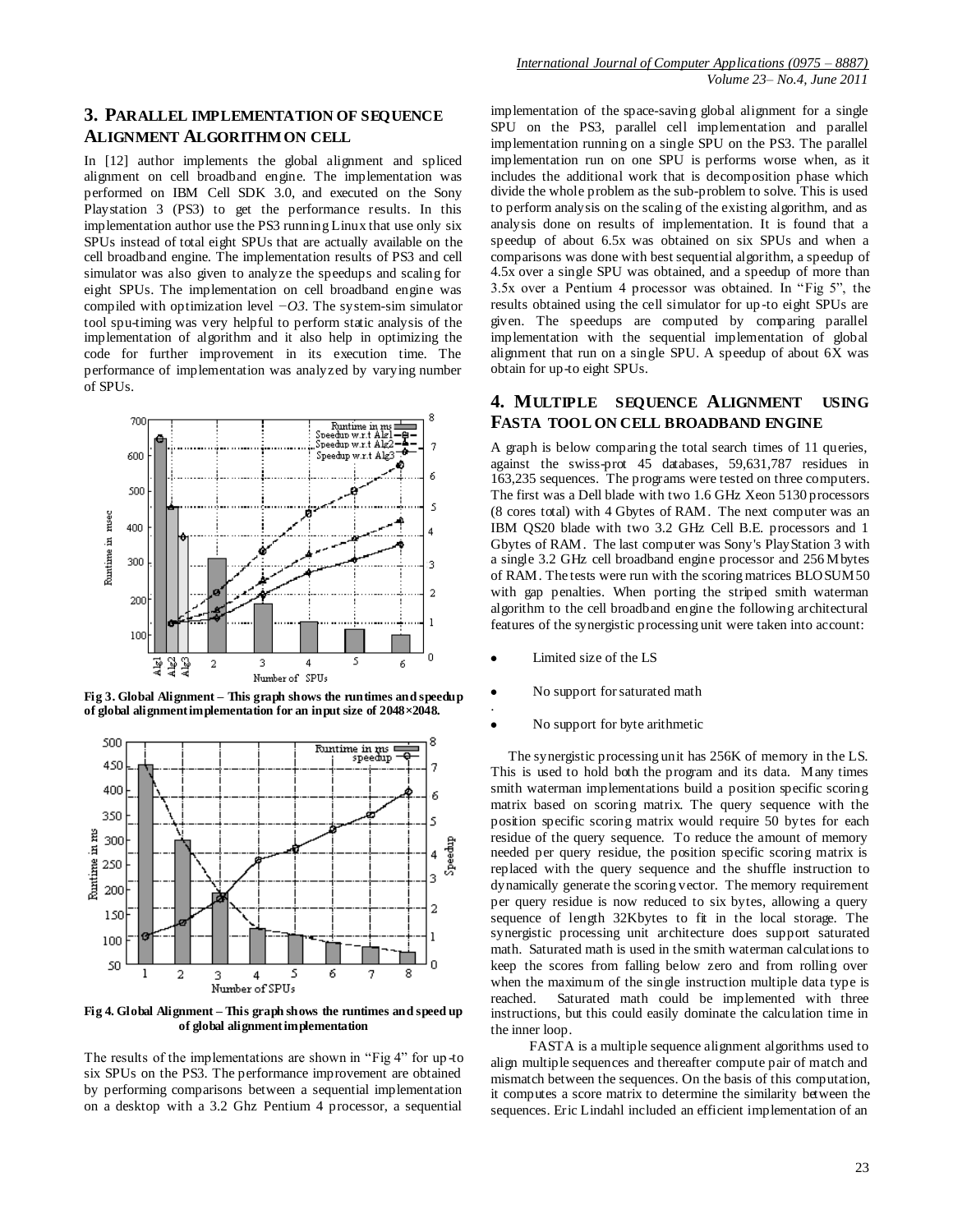#### **3. PARALLEL IMPLEMENTATION OF SEQUENCE ALIGNMENT ALGORITHM ON CELL**

In [12] author implements the global alignment and spliced alignment on cell broadband engine. The implementation was performed on IBM Cell SDK 3.0, and executed on the Sony Playstation 3 (PS3) to get the performance results. In this implementation author use the PS3 running Linux that use only six SPUs instead of total eight SPUs that are actually available on the cell broadband engine. The implementation results of PS3 and cell simulator was also given to analyze the speedups and scaling for eight SPUs. The implementation on cell broadband engine was compiled with optimization level *−O3*. The system-sim simulator tool spu-timing was very helpful to perform static analysis of the implementation of algorithm and it also help in optimizing the code for further improvement in its execution time. The performance of implementation was analyzed by varying number of SPUs.



**Fig 3. Global Alignment – This graph shows the runtimes and speedup of global alignment implementation for an input size of 2048×2048.** 



**Fig 4. Global Alignment – This graph shows the runtimes and speed up of global alignmentimplementation**

The results of the implementations are shown in "Fig 4" for up -to six SPUs on the PS3. The performance improvement are obtained by performing comparisons between a sequential implementation on a desktop with a 3.2 Ghz Pentium 4 processor, a sequential

implementation of the space-saving global alignment for a single SPU on the PS3, parallel cell implementation and parallel implementation running on a single SPU on the PS3. The parallel implementation run on one SPU is performs worse when, as it includes the additional work that is decomposition phase which divide the whole problem as the sub-problem to solve. This is used to perform analysis on the scaling of the existing algorithm, and as analysis done on results of implementation. It is found that a speedup of about 6.5x was obtained on six SPUs and when a comparisons was done with best sequential algorithm, a speedup of 4.5x over a single SPU was obtained, and a speedup of more than 3.5x over a Pentium 4 processor was obtained. In "Fig 5", the results obtained using the cell simulator for up-to eight SPUs are given. The speedups are computed by comparing parallel implementation with the sequential implementation of global alignment that run on a single SPU. A speedup of about 6X was obtain for up-to eight SPUs.

# **4. MULTIPLE SEQUENCE ALIGNMENT USING FASTA TOOL ON CELL BROADBAND ENGINE**

A graph is below comparing the total search times of 11 queries, against the swiss-prot 45 databases, 59,631,787 residues in 163,235 sequences. The programs were tested on three computers. The first was a Dell blade with two 1.6 GHz Xeon 5130 processors (8 cores total) with 4 Gbytes of RAM. The next computer was an IBM QS20 blade with two 3.2 GHz Cell B.E. processors and 1 Gbytes of RAM. The last computer was Sony's PlayStation 3 with a single 3.2 GHz cell broadband engine processor and 256 Mbytes of RAM. The tests were run with the scoring matrices BLOSUM50 with gap penalties. When porting the striped smith waterman algorithm to the cell broadband engine the following architectural features of the synergistic processing unit were taken into account:

- Limited size of the LS
- No support for saturated math .
- No support for byte arithmetic

 The synergistic processing unit has 256K of memory in the LS. This is used to hold both the program and its data. Many times smith waterman implementations build a position specific scoring matrix based on scoring matrix. The query sequence with the position specific scoring matrix would require 50 bytes for each residue of the query sequence. To reduce the amount of memory needed per query residue, the position specific scoring matrix is replaced with the query sequence and the shuffle instruction to dynamically generate the scoring vector. The memory requirement per query residue is now reduced to six bytes, allowing a query sequence of length 32Kbytes to fit in the local storage. The synergistic processing unit architecture does support saturated math. Saturated math is used in the smith waterman calculations to keep the scores from falling below zero and from rolling over when the maximum of the single instruction multiple data type is reached. Saturated math could be implemented with three instructions, but this could easily dominate the calculation time in the inner loop.

 FASTA is a multiple sequence alignment algorithms used to align multiple sequences and thereafter compute pair of match and mismatch between the sequences. On the basis of this computation, it computes a score matrix to determine the similarity between the sequences. Eric Lindahl included an efficient implementation of an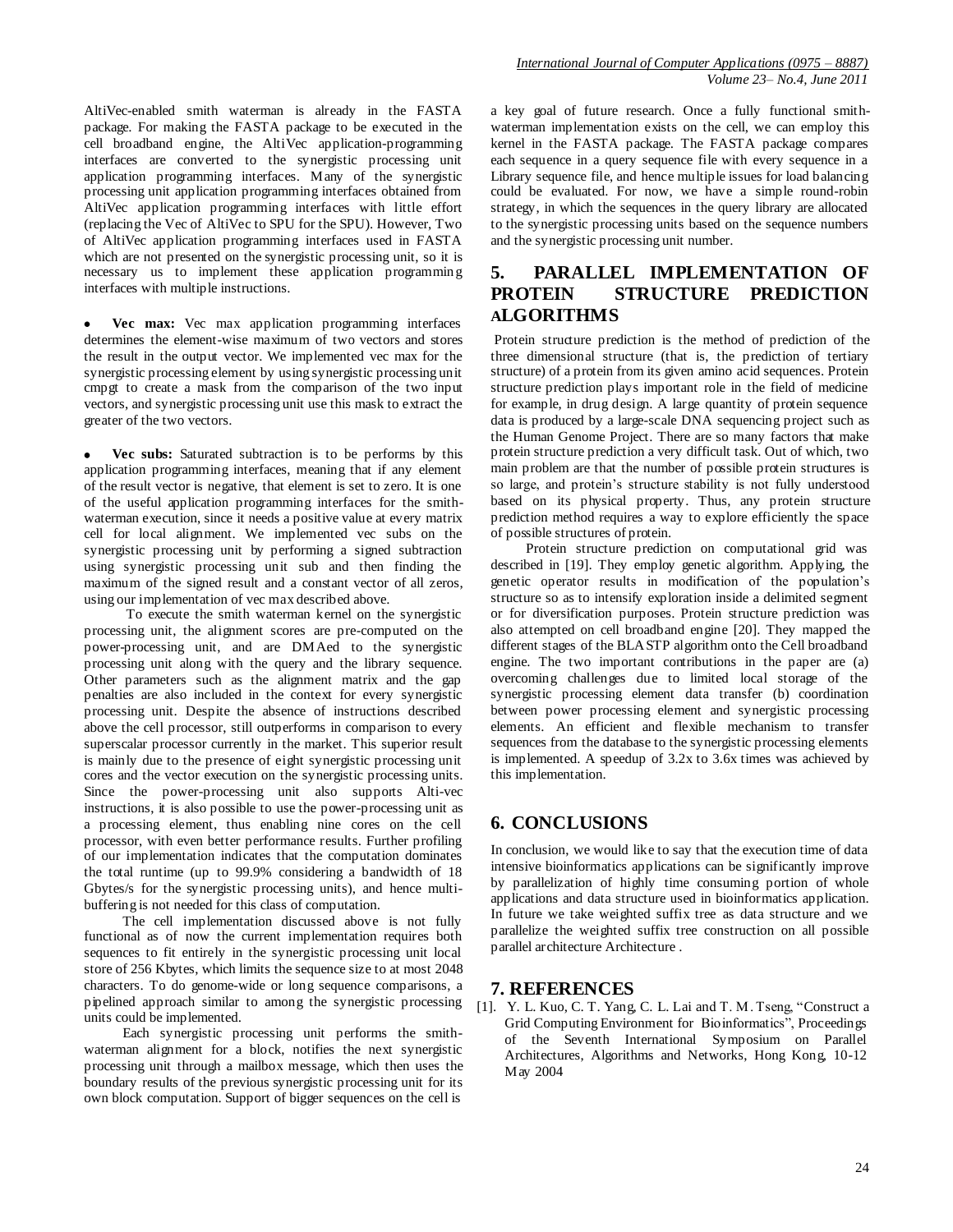AltiVec-enabled smith waterman is already in the FASTA package. For making the FASTA package to be executed in the cell broadband engine, the AltiVec application-programming interfaces are converted to the synergistic processing unit application programming interfaces. Many of the synergistic processing unit application programming interfaces obtained from AltiVec application programming interfaces with little effort (replacing the Vec of AltiVec to SPU for the SPU). However, Two of AltiVec application programming interfaces used in FASTA which are not presented on the synergistic processing unit, so it is necessary us to implement these application programming interfaces with multiple instructions.

**Vec max:** Vec max application programming interfaces determines the element-wise maximum of two vectors and stores the result in the output vector. We implemented vec max for the synergistic processing element by using synergistic processing unit cmpgt to create a mask from the comparison of the two input vectors, and synergistic processing unit use this mask to extract the greater of the two vectors.

**Vec subs:** Saturated subtraction is to be performs by this application programming interfaces, meaning that if any element of the result vector is negative, that element is set to zero. It is one of the useful application programming interfaces for the smithwaterman execution, since it needs a positive value at every matrix cell for local alignment. We implemented vec subs on the synergistic processing unit by performing a signed subtraction using synergistic processing unit sub and then finding the maximum of the signed result and a constant vector of all zeros, using our implementation of vec max described above.

 To execute the smith waterman kernel on the synergistic processing unit, the alignment scores are pre-computed on the power-processing unit, and are DMAed to the synergistic processing unit along with the query and the library sequence. Other parameters such as the alignment matrix and the gap penalties are also included in the context for every synergistic processing unit. Despite the absence of instructions described above the cell processor, still outperforms in comparison to every superscalar processor currently in the market. This superior result is mainly due to the presence of eight synergistic processing unit cores and the vector execution on the synergistic processing units. Since the power-processing unit also supports Alti-vec instructions, it is also possible to use the power-processing unit as a processing element, thus enabling nine cores on the cell processor, with even better performance results. Further profiling of our implementation indicates that the computation dominates the total runtime (up to 99.9% considering a bandwidth of 18 Gbytes/s for the synergistic processing units), and hence multibuffering is not needed for this class of computation.

 The cell implementation discussed above is not fully functional as of now the current implementation requires both sequences to fit entirely in the synergistic processing unit local store of 256 Kbytes, which limits the sequence size to at most 2048 characters. To do genome-wide or long sequence comparisons, a pipelined approach similar to among the synergistic processing units could be implemented.

 Each synergistic processing unit performs the smithwaterman alignment for a block, notifies the next synergistic processing unit through a mailbox message, which then uses the boundary results of the previous synergistic processing unit for its own block computation. Support of bigger sequences on the cell is

a key goal of future research. Once a fully functional smithwaterman implementation exists on the cell, we can employ this kernel in the FASTA package. The FASTA package compares each sequence in a query sequence file with every sequence in a Library sequence file, and hence multiple issues for load balancing could be evaluated. For now, we have a simple round-robin strategy, in which the sequences in the query library are allocated to the synergistic processing units based on the sequence numbers and the synergistic processing unit number.

# **5. PARALLEL IMPLEMENTATION OF PROTEIN STRUCTURE PREDICTION ALGORITHMS**

Protein structure prediction is the method of prediction of the three dimensional structure (that is, the prediction of tertiary structure) of a protein from its given amino acid sequences. Protein structure prediction plays important role in the field of medicine for example, in drug design. A large quantity of protein sequence data is produced by a large-scale DNA sequencing project such as the Human Genome Project. There are so many factors that make protein structure prediction a very difficult task. Out of which, two main problem are that the number of possible protein structures is so large, and protein's structure stability is not fully understood based on its physical property. Thus, any protein structure prediction method requires a way to explore efficiently the space of possible structures of protein.

 Protein structure prediction on computational grid was described in [19]. They employ genetic algorithm. Applying, the genetic operator results in modification of the population's structure so as to intensify exploration inside a delimited segment or for diversification purposes. Protein structure prediction was also attempted on cell broadband engine [20]. They mapped the different stages of the BLASTP algorithm onto the Cell broadband engine. The two important contributions in the paper are (a) overcoming challenges due to limited local storage of the synergistic processing element data transfer (b) coordination between power processing element and synergistic processing elements. An efficient and flexible mechanism to transfer sequences from the database to the synergistic processing elements is implemented. A speedup of 3.2x to 3.6x times was achieved by this implementation.

# **6. CONCLUSIONS**

In conclusion, we would like to say that the execution time of data intensive bioinformatics applications can be significantly improve by parallelization of highly time consuming portion of whole applications and data structure used in bioinformatics application. In future we take weighted suffix tree as data structure and we parallelize the weighted suffix tree construction on all possible parallel architecture Architecture .

## **7. REFERENCES**

[1]. Y. L. Kuo, C. T. Yang, C. L. Lai and T. M. Tseng, "Construct a Grid Computing Environment for Bioinformatics", Proceedings of the Seventh International Symposium on Parallel Architectures, Algorithms and Networks, Hong Kong, 10-12 May 2004